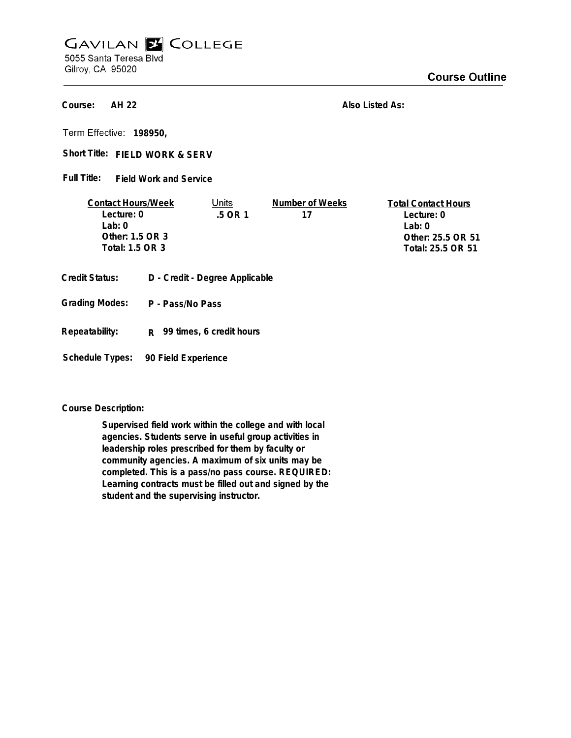## **GAVILAN E COLLEGE** 5055 Santa Teresa Blvd

Gilroy, CA 95020

## **Course Outline**

**AH 22 Course:**

**Also Listed As:**

**198950,**

Short Title: FIELD WORK & SERV

**Field Work and Service Full Title:**

| <b>Contact Hours/Week</b> | Units  | Number of Weeks | <b>Total Contact Hours</b> |
|---------------------------|--------|-----------------|----------------------------|
| Lecture: 0                | 5 OR 1 | 17              | Lecture: 0                 |
| l ab: 0                   |        |                 | l ab: 0                    |
| Other: 1.5 OR 3           |        |                 | Other: 25.5 OR 51          |
| Total: 1.5 OR 3           |        |                 | Total: 25.5 OR 51          |
|                           |        |                 |                            |

- **Credit Status: D Credit Degree Applicable**
- **P Pass/No Pass Grading Modes:**
- **Repeatability: R 99 times, 6 credit hours**

**Schedule Types: 90 Field Experience**

**Course Description:**

**Supervised field work within the college and with local agencies. Students serve in useful group activities in leadership roles prescribed for them by faculty or community agencies. A maximum of six units may be completed. This is a pass/no pass course. REQUIRED: Learning contracts must be filled out and signed by the student and the supervising instructor.**